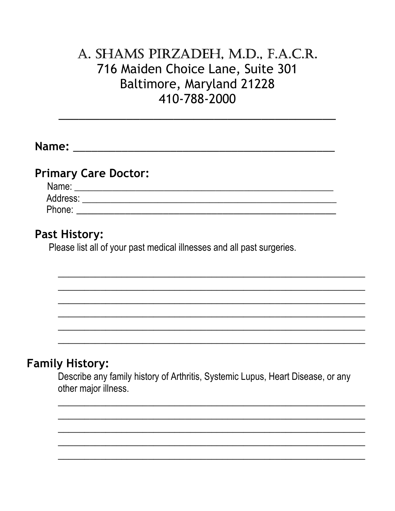# A. SHAMS PIRZADEH, M.D., F.A.C.R. 716 Maiden Choice Lane, Suite 301 Baltimore, Maryland 21228 410-788-2000

| <b>Primary Care Doctor:</b>                                                                             |
|---------------------------------------------------------------------------------------------------------|
|                                                                                                         |
|                                                                                                         |
|                                                                                                         |
|                                                                                                         |
| <b>Past History:</b>                                                                                    |
| Please list all of your past medical illnesses and all past surgeries.                                  |
|                                                                                                         |
|                                                                                                         |
|                                                                                                         |
|                                                                                                         |
|                                                                                                         |
|                                                                                                         |
|                                                                                                         |
| <b>Family History:</b>                                                                                  |
| Describe any family history of Arthritis, Systemic Lupus, Heart Disease, or any<br>other major illness. |
|                                                                                                         |
|                                                                                                         |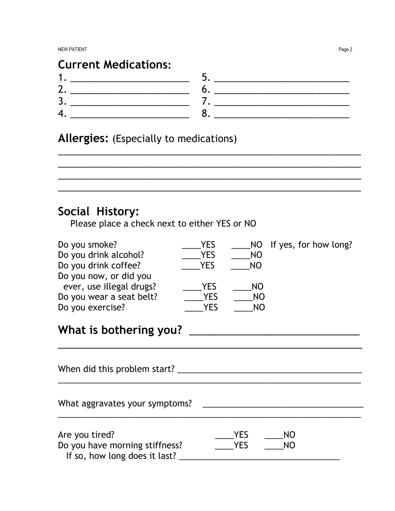| <b>Current Medications:</b> |  |
|-----------------------------|--|
|                             |  |
|                             |  |
|                             |  |
|                             |  |

\_\_\_\_\_\_\_\_\_\_\_\_\_\_\_\_\_\_\_\_\_\_\_\_\_\_\_\_\_\_\_\_\_\_\_\_\_\_\_\_\_\_\_\_\_\_\_\_\_\_\_\_\_\_\_\_ \_\_\_\_\_\_\_\_\_\_\_\_\_\_\_\_\_\_\_\_\_\_\_\_\_\_\_\_\_\_\_\_\_\_\_\_\_\_\_\_\_\_\_\_\_\_\_\_\_\_\_\_\_\_\_\_ \_\_\_\_\_\_\_\_\_\_\_\_\_\_\_\_\_\_\_\_\_\_\_\_\_\_\_\_\_\_\_\_\_\_\_\_\_\_\_\_\_\_\_\_\_\_\_\_\_\_\_\_\_\_\_\_

\_\_\_\_\_\_\_\_\_\_\_\_\_\_\_\_\_\_\_\_\_\_\_\_\_\_\_\_\_\_\_\_\_\_\_\_\_\_\_\_\_\_\_\_\_\_\_\_\_\_\_\_\_\_\_\_

Allergies: (Especially to medications)

# Social History:

Please place a check next to either YES or NO

| Do you smoke?            | YES        |    | NO If yes, for how long? |
|--------------------------|------------|----|--------------------------|
| Do you drink alcohol?    | <b>YES</b> | NO |                          |
| Do you drink coffee?     | <b>YES</b> | NO |                          |
| Do you now, or did you   |            |    |                          |
| ever, use illegal drugs? | YES        | NO |                          |
| Do you wear a seat belt? | <b>YES</b> | NO |                          |
| Do you exercise?         | YES        | NO |                          |

# What is bothering you? \_\_\_\_\_\_\_\_\_\_\_\_\_\_\_\_\_\_\_\_\_\_\_\_\_\_\_\_

When did this problem start? \_\_\_\_\_\_\_\_\_\_\_\_\_\_\_\_\_\_\_\_\_\_\_\_\_\_\_\_\_\_\_\_\_\_\_\_\_\_\_ \_\_\_\_\_\_\_\_\_\_\_\_\_\_\_\_\_\_\_\_\_\_\_\_\_\_\_\_\_\_\_\_\_\_\_\_\_\_\_\_\_\_\_\_\_\_\_\_\_\_\_\_\_\_\_\_\_\_\_\_\_\_\_\_ What aggravates your symptoms? \_\_\_\_\_\_\_\_\_\_\_\_\_\_\_\_\_\_\_\_\_\_\_\_\_\_\_\_\_\_\_\_\_\_ \_\_\_\_\_\_\_\_\_\_\_\_\_\_\_\_\_\_\_\_\_\_\_\_\_\_\_\_\_\_\_\_\_\_\_\_\_\_\_\_\_\_\_\_\_\_\_\_\_\_\_\_\_\_\_\_\_\_\_\_\_\_\_\_ Are you tired? \_\_\_\_YES \_\_\_\_NO Do you have morning stiffness? \_\_\_\_YES \_\_\_\_NO If so, how long does it last?

\_\_\_\_\_\_\_\_\_\_\_\_\_\_\_\_\_\_\_\_\_\_\_\_\_\_\_\_\_\_\_\_\_\_\_\_\_\_\_\_\_\_\_\_\_\_\_\_\_\_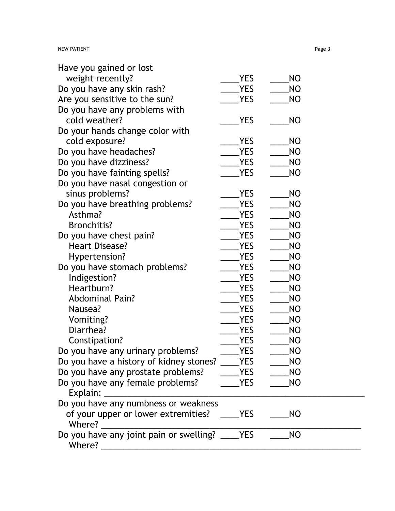| Have you gained or lost                                                                                   |            |           |  |
|-----------------------------------------------------------------------------------------------------------|------------|-----------|--|
| weight recently?                                                                                          | <b>YES</b> | NO        |  |
| Do you have any skin rash?                                                                                | <b>YES</b> | NO        |  |
| Are you sensitive to the sun?                                                                             | <b>YES</b> | NO        |  |
| Do you have any problems with                                                                             |            |           |  |
| cold weather?                                                                                             | <b>YES</b> | NO        |  |
| Do your hands change color with                                                                           |            |           |  |
| cold exposure?                                                                                            | <b>YES</b> | NO        |  |
| Do you have headaches?                                                                                    | <b>YES</b> | <b>NO</b> |  |
| Do you have dizziness?                                                                                    | <b>YES</b> | NO        |  |
| Do you have fainting spells?                                                                              | <b>YES</b> | NO        |  |
| Do you have nasal congestion or                                                                           |            |           |  |
| sinus problems?                                                                                           | YES        | NO        |  |
| Do you have breathing problems?                                                                           | <b>YES</b> | <b>NO</b> |  |
| Asthma?                                                                                                   | <b>YES</b> | NO        |  |
| <b>Bronchitis?</b>                                                                                        | <b>YES</b> | <b>NO</b> |  |
| Do you have chest pain?                                                                                   | <b>YES</b> | NO        |  |
| <b>Heart Disease?</b>                                                                                     | <b>YES</b> | <b>NO</b> |  |
| Hypertension?                                                                                             | <b>YES</b> | <b>NO</b> |  |
| Do you have stomach problems?                                                                             | <b>YES</b> | NO        |  |
| Indigestion?                                                                                              | YES        | NO        |  |
| Heartburn?                                                                                                | YES        | NO        |  |
| <b>Abdominal Pain?</b>                                                                                    | <b>YES</b> | NO        |  |
| Nausea?                                                                                                   | YES        | NO        |  |
| Vomiting?                                                                                                 | <b>YES</b> | <b>NO</b> |  |
| Diarrhea?                                                                                                 | <b>YES</b> | NO        |  |
| Constipation?                                                                                             | YES        | NO        |  |
| Do you have any urinary problems?                                                                         | <b>YES</b> | <b>NO</b> |  |
| Do you have a history of kidney stones?                                                                   | <b>YES</b> | <b>NO</b> |  |
| Do you have any prostate problems?                                                                        | YES        | NO        |  |
| Do you have any female problems?                                                                          | <b>YES</b> | <b>NO</b> |  |
|                                                                                                           |            |           |  |
| Do you have any numbness or weakness                                                                      |            |           |  |
| of your upper or lower extremities?                                                                       | <b>YES</b> | <b>NO</b> |  |
| Where?                                                                                                    |            |           |  |
| Do you have any joint pain or swelling? _<br>Where?<br><u> 1980 - Jan Berlin, Amerikaansk politiker (</u> | <b>YES</b> | NO        |  |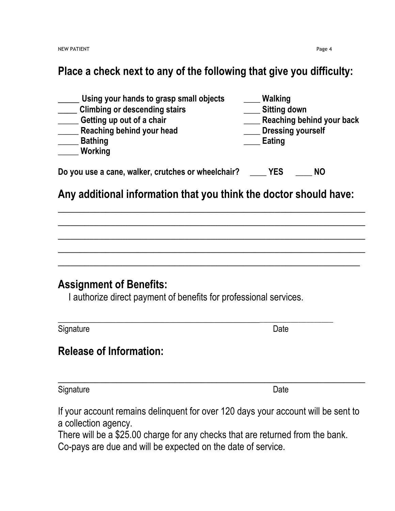### Place a check next to any of the following that give you difficulty:

| Using your hands to grasp small objects            | Walking             |                           |
|----------------------------------------------------|---------------------|---------------------------|
| <b>Climbing or descending stairs</b>               | <b>Sitting down</b> |                           |
| Getting up out of a chair                          |                     | Reaching behind your back |
| Reaching behind your head                          |                     | <b>Dressing yourself</b>  |
| <b>Bathing</b>                                     | Eating              |                           |
| <b>Working</b>                                     |                     |                           |
|                                                    |                     |                           |
| Do you use a cane, walker, crutches or wheelchair? | YES                 | NΟ                        |

#### Any additional information that you think the doctor should have:

 $\overline{\phantom{a}}$  , and the contract of the contract of the contract of the contract of the contract of the contract of the contract of the contract of the contract of the contract of the contract of the contract of the contrac

 $\overline{\phantom{a}}$  , and the contract of the contract of the contract of the contract of the contract of the contract of the contract of the contract of the contract of the contract of the contract of the contract of the contrac

 $\overline{\phantom{a}}$  , and the contract of the contract of the contract of the contract of the contract of the contract of the contract of the contract of the contract of the contract of the contract of the contract of the contrac

 $\overline{\phantom{a}}$  , and the contract of the contract of the contract of the contract of the contract of the contract of the contract of the contract of the contract of the contract of the contract of the contract of the contrac

 $\overline{\phantom{a}}$  , and the contract of the contract of the contract of the contract of the contract of the contract of the contract of the contract of the contract of the contract of the contract of the contract of the contrac

#### Assignment of Benefits:

I authorize direct payment of benefits for professional services.

| Signature | Date |
|-----------|------|

# Release of Information:

Signature Date Date Date Date Date Date

If your account remains delinquent for over 120 days your account will be sent to

a collection agency.

There will be a \$25.00 charge for any checks that are returned from the bank. Co-pays are due and will be expected on the date of service.

 $\overline{\phantom{a}}$  , and the contract of the contract of the contract of the contract of the contract of the contract of the contract of the contract of the contract of the contract of the contract of the contract of the contrac